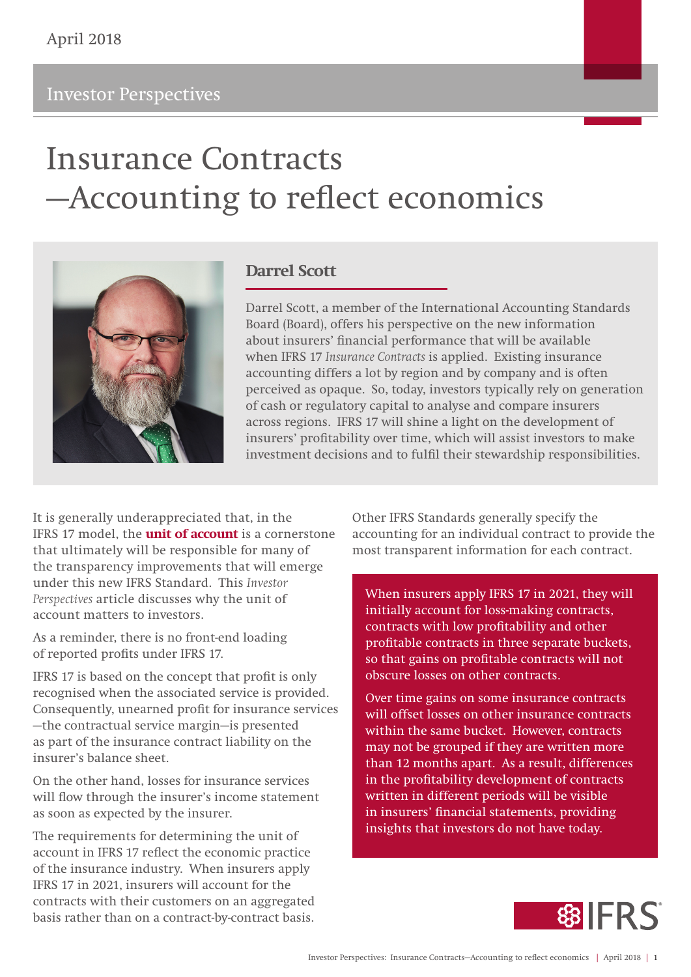# Insurance Contracts —Accounting to reflect economics



## **Darrel Scott**

Darrel Scott, a member of the International Accounting Standards Board (Board), offers his perspective on the new information about insurers' financial performance that will be available when IFRS 17 *Insurance Contracts* is applied. Existing insurance accounting differs a lot by region and by company and is often perceived as opaque. So, today, investors typically rely on generation of cash or regulatory capital to analyse and compare insurers across regions. IFRS 17 will shine a light on the development of insurers' profitability over time, which will assist investors to make investment decisions and to fulfil their stewardship responsibilities.

It is generally underappreciated that, in the IFRS 17 model, the **unit of account** is a cornerstone that ultimately will be responsible for many of the transparency improvements that will emerge under this new IFRS Standard. This *Investor Perspectives* article discusses why the unit of account matters to investors.

As a reminder, there is no front-end loading of reported profits under IFRS 17.

IFRS 17 is based on the concept that profit is only recognised when the associated service is provided. Consequently, unearned profit for insurance services —the contractual service margin—is presented as part of the insurance contract liability on the insurer's balance sheet.

On the other hand, losses for insurance services will flow through the insurer's income statement as soon as expected by the insurer.

The requirements for determining the unit of account in IFRS 17 reflect the economic practice of the insurance industry. When insurers apply IFRS 17 in 2021, insurers will account for the contracts with their customers on an aggregated basis rather than on a contract-by-contract basis.

Other IFRS Standards generally specify the accounting for an individual contract to provide the most transparent information for each contract.

When insurers apply IFRS 17 in 2021, they will initially account for loss-making contracts, contracts with low profitability and other profitable contracts in three separate buckets, so that gains on profitable contracts will not obscure losses on other contracts.

Over time gains on some insurance contracts will offset losses on other insurance contracts within the same bucket. However, contracts may not be grouped if they are written more than 12 months apart. As a result, differences in the profitability development of contracts written in different periods will be visible in insurers' financial statements, providing insights that investors do not have today.

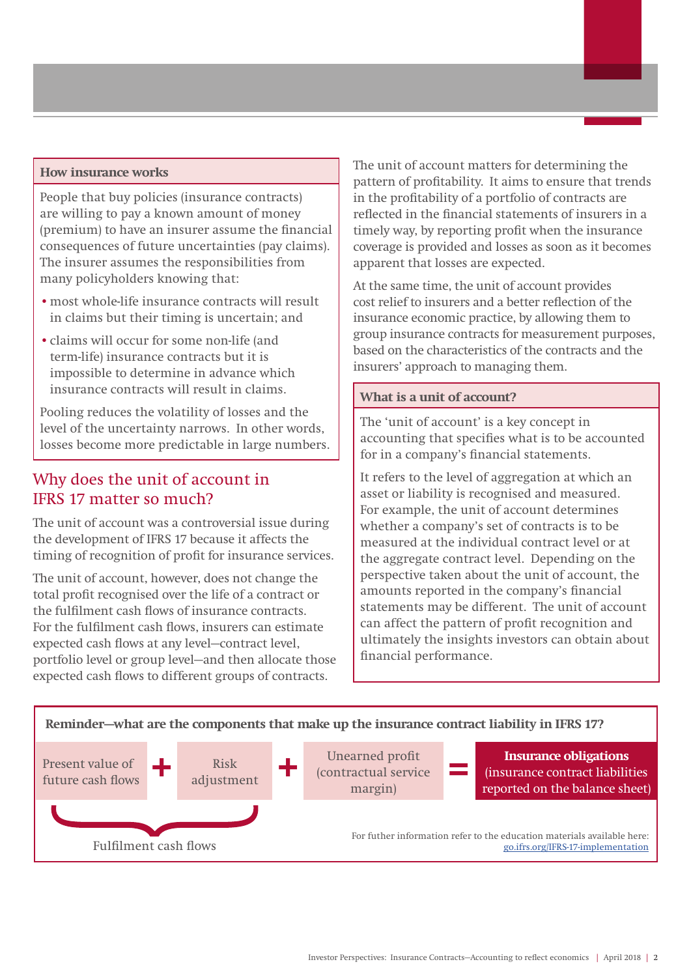#### **How insurance works**

People that buy policies (insurance contracts) are willing to pay a known amount of money (premium) to have an insurer assume the financial consequences of future uncertainties (pay claims). The insurer assumes the responsibilities from many policyholders knowing that:

- •most whole-life insurance contracts will result in claims but their timing is uncertain; and
- •claims will occur for some non-life (and term-life) insurance contracts but it is impossible to determine in advance which insurance contracts will result in claims.

Pooling reduces the volatility of losses and the level of the uncertainty narrows. In other words, losses become more predictable in large numbers.

## Why does the unit of account in IFRS 17 matter so much?

The unit of account was a controversial issue during the development of IFRS 17 because it affects the timing of recognition of profit for insurance services.

The unit of account, however, does not change the total profit recognised over the life of a contract or the fulfilment cash flows of insurance contracts. For the fulfilment cash flows, insurers can estimate expected cash flows at any level—contract level, portfolio level or group level—and then allocate those expected cash flows to different groups of contracts.

The unit of account matters for determining the pattern of profitability. It aims to ensure that trends in the profitability of a portfolio of contracts are reflected in the financial statements of insurers in a timely way, by reporting profit when the insurance coverage is provided and losses as soon as it becomes apparent that losses are expected.

At the same time, the unit of account provides cost relief to insurers and a better reflection of the insurance economic practice, by allowing them to group insurance contracts for measurement purposes, based on the characteristics of the contracts and the insurers' approach to managing them.

#### **What is a unit of account?**

The 'unit of account' is a key concept in accounting that specifies what is to be accounted for in a company's financial statements.

It refers to the level of aggregation at which an asset or liability is recognised and measured. For example, the unit of account determines whether a company's set of contracts is to be measured at the individual contract level or at the aggregate contract level. Depending on the perspective taken about the unit of account, the amounts reported in the company's financial statements may be different. The unit of account can affect the pattern of profit recognition and ultimately the insights investors can obtain about financial performance.

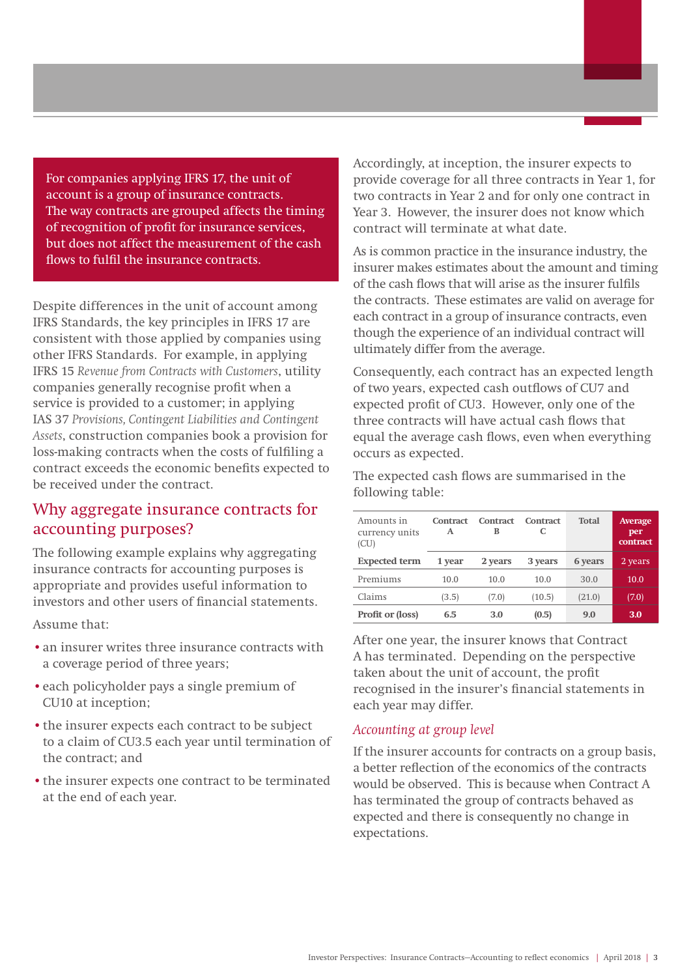For companies applying IFRS 17, the unit of account is a group of insurance contracts. The way contracts are grouped affects the timing of recognition of profit for insurance services, but does not affect the measurement of the cash flows to fulfil the insurance contracts.

Despite differences in the unit of account among IFRS Standards, the key principles in IFRS 17 are consistent with those applied by companies using other IFRS Standards. For example, in applying IFRS 15 *Revenue from Contracts with Customers*, utility companies generally recognise profit when a service is provided to a customer; in applying IAS 37 *Provisions, Contingent Liabilities and Contingent Assets*, construction companies book a provision for loss-making contracts when the costs of fulfiling a contract exceeds the economic benefits expected to be received under the contract.

### Why aggregate insurance contracts for accounting purposes?

The following example explains why aggregating insurance contracts for accounting purposes is appropriate and provides useful information to investors and other users of financial statements.

Assume that:

- •an insurer writes three insurance contracts with a coverage period of three years;
- •each policyholder pays a single premium of CU10 at inception;
- the insurer expects each contract to be subject to a claim of CU3.5 each year until termination of the contract; and
- the insurer expects one contract to be terminated at the end of each year.

Accordingly, at inception, the insurer expects to provide coverage for all three contracts in Year 1, for two contracts in Year 2 and for only one contract in Year 3. However, the insurer does not know which contract will terminate at what date.

As is common practice in the insurance industry, the insurer makes estimates about the amount and timing of the cash flows that will arise as the insurer fulfils the contracts. These estimates are valid on average for each contract in a group of insurance contracts, even though the experience of an individual contract will ultimately differ from the average.

Consequently, each contract has an expected length of two years, expected cash outflows of CU7 and expected profit of CU3. However, only one of the three contracts will have actual cash flows that equal the average cash flows, even when everything occurs as expected.

The expected cash flows are summarised in the following table:

| Amounts in<br>currency units<br>(CU) | Contract<br>A | Contract<br>в | <b>Contract</b><br>C | <b>Total</b> | <b>Average</b><br>per<br>contract |
|--------------------------------------|---------------|---------------|----------------------|--------------|-----------------------------------|
| <b>Expected term</b>                 | 1 year        | 2 years       | 3 years              | 6 years      | 2 years                           |
| Premiums                             | 10.0          | 10.0          | 10.0                 | 30.0         | 10.0                              |
| Claims                               | (3.5)         | (7.0)         | (10.5)               | (21.0)       | (7.0)                             |
| Profit or (loss)                     | 6.5           | 3.0           | (0.5)                | 9.0          | 3.0                               |

After one year, the insurer knows that Contract A has terminated. Depending on the perspective taken about the unit of account, the profit recognised in the insurer's financial statements in each year may differ.

#### *Accounting at group level*

If the insurer accounts for contracts on a group basis, a better reflection of the economics of the contracts would be observed. This is because when Contract A has terminated the group of contracts behaved as expected and there is consequently no change in expectations.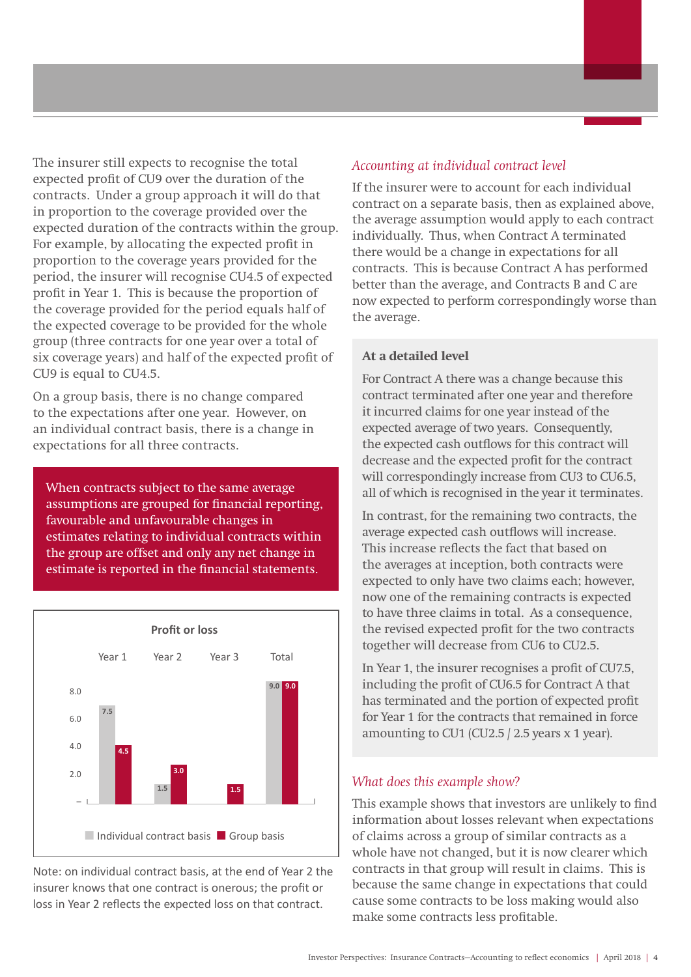The insurer still expects to recognise the total expected profit of CU9 over the duration of the contracts. Under a group approach it will do that in proportion to the coverage provided over the expected duration of the contracts within the group. For example, by allocating the expected profit in proportion to the coverage years provided for the period, the insurer will recognise CU4.5 of expected profit in Year 1. This is because the proportion of the coverage provided for the period equals half of the expected coverage to be provided for the whole group (three contracts for one year over a total of six coverage years) and half of the expected profit of CU9 is equal to CU4.5.

On a group basis, there is no change compared to the expectations after one year. However, on an individual contract basis, there is a change in expectations for all three contracts.

When contracts subject to the same average assumptions are grouped for financial reporting, favourable and unfavourable changes in estimates relating to individual contracts within the group are offset and only any net change in estimate is reported in the financial statements.



Note: on individual contract basis, at the end of Year 2 the insurer knows that one contract is onerous; the profit or loss in Year 2 reflects the expected loss on that contract.

#### *Accounting at individual contract level*

If the insurer were to account for each individual contract on a separate basis, then as explained above, the average assumption would apply to each contract individually. Thus, when Contract A terminated there would be a change in expectations for all contracts. This is because Contract A has performed better than the average, and Contracts B and C are now expected to perform correspondingly worse than the average.

#### **At a detailed level**

For Contract A there was a change because this contract terminated after one year and therefore it incurred claims for one year instead of the expected average of two years. Consequently, the expected cash outflows for this contract will decrease and the expected profit for the contract will correspondingly increase from CU3 to CU6.5, all of which is recognised in the year it terminates.

In contrast, for the remaining two contracts, the average expected cash outflows will increase. This increase reflects the fact that based on the averages at inception, both contracts were expected to only have two claims each; however, now one of the remaining contracts is expected to have three claims in total. As a consequence, the revised expected profit for the two contracts together will decrease from CU6 to CU2.5.

In Year 1, the insurer recognises a profit of CU7.5, including the profit of CU6.5 for Contract A that has terminated and the portion of expected profit for Year 1 for the contracts that remained in force amounting to CU1 (CU2.5 / 2.5 years x 1 year).

#### *What does this example show?*

This example shows that investors are unlikely to find information about losses relevant when expectations of claims across a group of similar contracts as a whole have not changed, but it is now clearer which contracts in that group will result in claims. This is because the same change in expectations that could cause some contracts to be loss making would also make some contracts less profitable.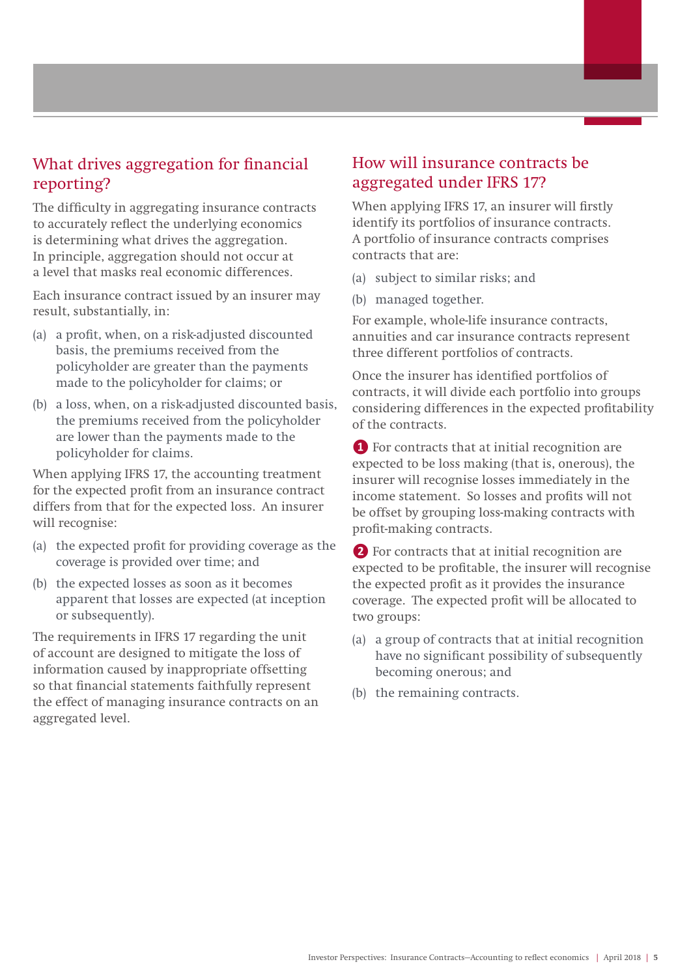## What drives aggregation for financial reporting?

The difficulty in aggregating insurance contracts to accurately reflect the underlying economics is determining what drives the aggregation. In principle, aggregation should not occur at a level that masks real economic differences.

Each insurance contract issued by an insurer may result, substantially, in:

- (a) a profit, when, on a risk-adjusted discounted basis, the premiums received from the policyholder are greater than the payments made to the policyholder for claims; or
- (b) a loss, when, on a risk-adjusted discounted basis, the premiums received from the policyholder are lower than the payments made to the policyholder for claims.

When applying IFRS 17, the accounting treatment for the expected profit from an insurance contract differs from that for the expected loss. An insurer will recognise:

- (a) the expected profit for providing coverage as the coverage is provided over time; and
- (b) the expected losses as soon as it becomes apparent that losses are expected (at inception or subsequently).

The requirements in IFRS 17 regarding the unit of account are designed to mitigate the loss of information caused by inappropriate offsetting so that financial statements faithfully represent the effect of managing insurance contracts on an aggregated level.

## How will insurance contracts be aggregated under IFRS 17?

When applying IFRS 17, an insurer will firstly identify its portfolios of insurance contracts. A portfolio of insurance contracts comprises contracts that are:

- (a) subject to similar risks; and
- (b) managed together.

For example, whole-life insurance contracts, annuities and car insurance contracts represent three different portfolios of contracts.

Once the insurer has identified portfolios of contracts, it will divide each portfolio into groups considering differences in the expected profitability of the contracts.

**❶** For contracts that at initial recognition are expected to be loss making (that is, onerous), the insurer will recognise losses immediately in the income statement. So losses and profits will not be offset by grouping loss-making contracts with profit-making contracts.

**❷** For contracts that at initial recognition are expected to be profitable, the insurer will recognise the expected profit as it provides the insurance coverage. The expected profit will be allocated to two groups:

- (a) a group of contracts that at initial recognition have no significant possibility of subsequently becoming onerous; and
- (b) the remaining contracts.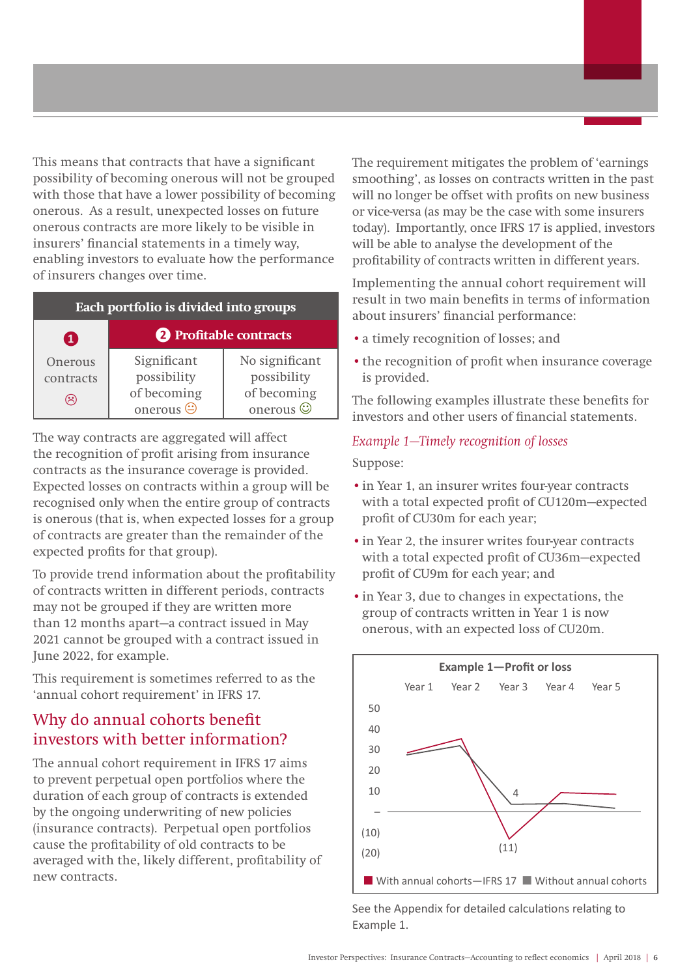This means that contracts that have a significant possibility of becoming onerous will not be grouped with those that have a lower possibility of becoming onerous. As a result, unexpected losses on future onerous contracts are more likely to be visible in insurers' financial statements in a timely way, enabling investors to evaluate how the performance of insurers changes over time.

| Each portfolio is divided into groups |                                                               |                                                                 |  |  |  |  |
|---------------------------------------|---------------------------------------------------------------|-----------------------------------------------------------------|--|--|--|--|
| $\mathbf{1}$                          | 2 Profitable contracts                                        |                                                                 |  |  |  |  |
| Onerous<br>contracts<br>$\approx$     | Significant<br>possibility<br>of becoming<br>onerous $\Theta$ | No significant<br>possibility<br>of becoming<br>onerous $\odot$ |  |  |  |  |

The way contracts are aggregated will affect the recognition of profit arising from insurance contracts as the insurance coverage is provided. Expected losses on contracts within a group will be recognised only when the entire group of contracts is onerous (that is, when expected losses for a group of contracts are greater than the remainder of the expected profits for that group).

To provide trend information about the profitability of contracts written in different periods, contracts may not be grouped if they are written more than 12 months apart—a contract issued in May 2021 cannot be grouped with a contract issued in June 2022, for example.

This requirement is sometimes referred to as the 'annual cohort requirement' in IFRS 17.

# Why do annual cohorts benefit investors with better information?

The annual cohort requirement in IFRS 17 aims to prevent perpetual open portfolios where the duration of each group of contracts is extended by the ongoing underwriting of new policies (insurance contracts). Perpetual open portfolios cause the profitability of old contracts to be averaged with the, likely different, profitability of new contracts.

The requirement mitigates the problem of 'earnings smoothing', as losses on contracts written in the past will no longer be offset with profits on new business or vice-versa (as may be the case with some insurers today). Importantly, once IFRS 17 is applied, investors will be able to analyse the development of the profitability of contracts written in different years.

Implementing the annual cohort requirement will result in two main benefits in terms of information about insurers' financial performance:

- •a timely recognition of losses; and
- the recognition of profit when insurance coverage is provided.

The following examples illustrate these benefits for investors and other users of financial statements.

#### *Example 1—Timely recognition of losses*

Suppose:

- •in Year 1, an insurer writes four-year contracts with a total expected profit of CU120m—expected profit of CU30m for each year;
- •in Year 2, the insurer writes four-year contracts with a total expected profit of CU36m—expected profit of CU9m for each year; and
- •in Year 3, due to changes in expectations, the group of contracts written in Year 1 is now onerous, with an expected loss of CU20m.



See the Appendix for detailed calculations relating to Example 1.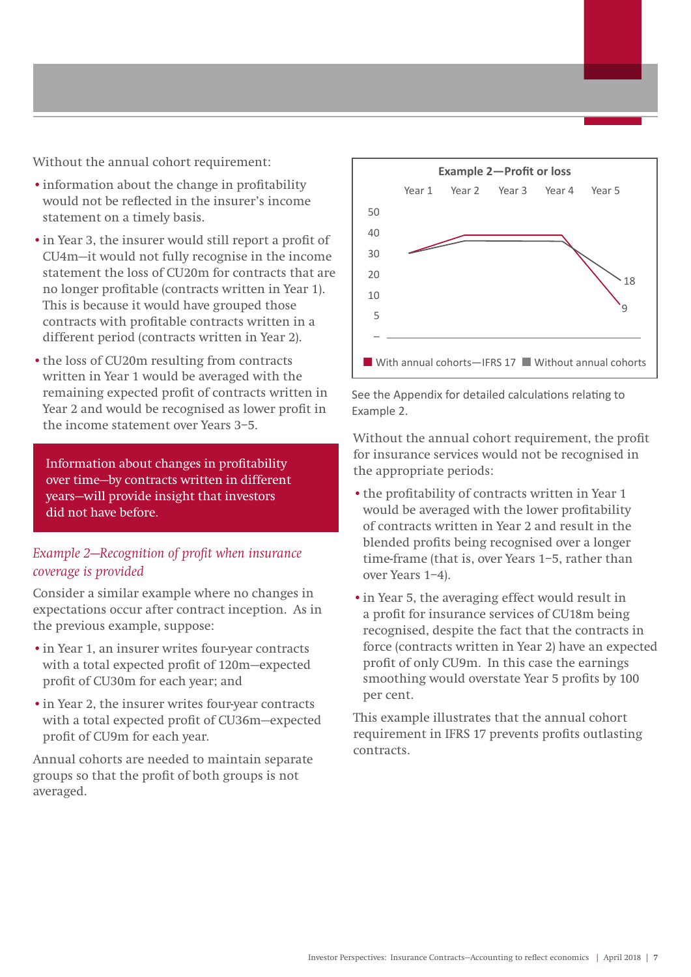Without the annual cohort requirement:

- •information about the change in profitability would not be reflected in the insurer's income statement on a timely basis.
- •in Year 3, the insurer would still report a profit of CU4m—it would not fully recognise in the income statement the loss of CU20m for contracts that are no longer profitable (contracts written in Year 1). This is because it would have grouped those contracts with profitable contracts written in a different period (contracts written in Year 2).
- •the loss of CU20m resulting from contracts written in Year 1 would be averaged with the remaining expected profit of contracts written in Year 2 and would be recognised as lower profit in the income statement over Years 3–5.

Information about changes in profitability over time—by contracts written in different years—will provide insight that investors did not have before.

#### *Example 2—Recognition of profit when insurance coverage is provided*

Consider a similar example where no changes in expectations occur after contract inception. As in the previous example, suppose:

- •in Year 1, an insurer writes four-year contracts with a total expected profit of 120m—expected profit of CU30m for each year; and
- •in Year 2, the insurer writes four-year contracts with a total expected profit of CU36m—expected profit of CU9m for each year.

Annual cohorts are needed to maintain separate groups so that the profit of both groups is not averaged.



#### See the Appendix for detailed calculations relating to Example 2.

Without the annual cohort requirement, the profit for insurance services would not be recognised in the appropriate periods:

- •the profitability of contracts written in Year 1 would be averaged with the lower profitability of contracts written in Year 2 and result in the blended profits being recognised over a longer time-frame (that is, over Years 1–5, rather than over Years 1–4).
- •in Year 5, the averaging effect would result in a profit for insurance services of CU18m being recognised, despite the fact that the contracts in force (contracts written in Year 2) have an expected profit of only CU9m. In this case the earnings smoothing would overstate Year 5 profits by 100 per cent.

This example illustrates that the annual cohort requirement in IFRS 17 prevents profits outlasting contracts.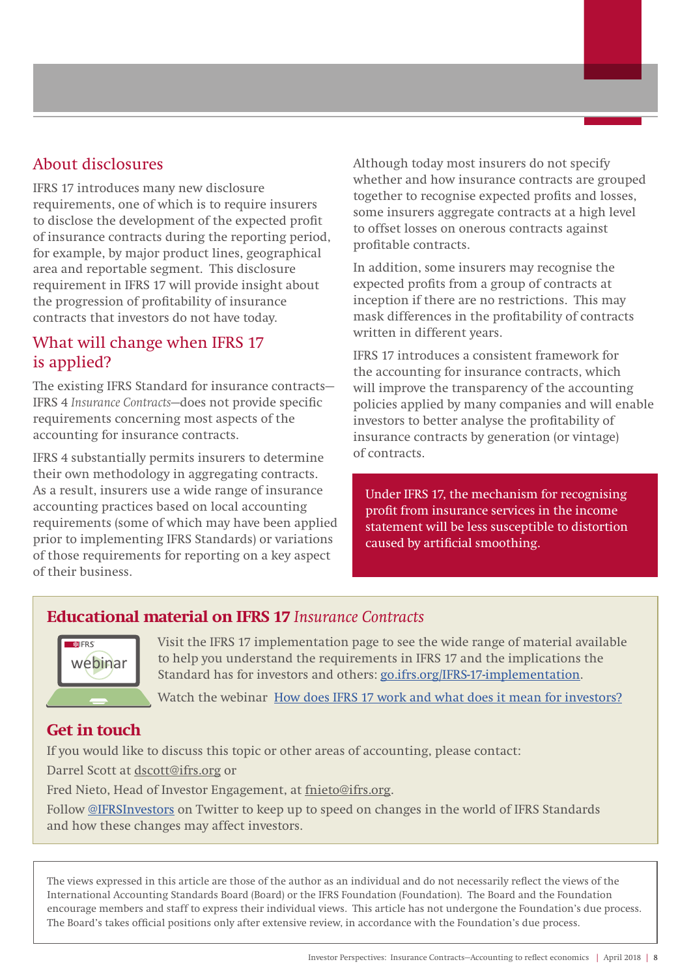## About disclosures

IFRS 17 introduces many new disclosure requirements, one of which is to require insurers to disclose the development of the expected profit of insurance contracts during the reporting period, for example, by major product lines, geographical area and reportable segment. This disclosure requirement in IFRS 17 will provide insight about the progression of profitability of insurance contracts that investors do not have today.

# What will change when IFRS 17 is applied?

The existing IFRS Standard for insurance contracts— IFRS 4 *Insurance Contracts*—does not provide specific requirements concerning most aspects of the accounting for insurance contracts.

IFRS 4 substantially permits insurers to determine their own methodology in aggregating contracts. As a result, insurers use a wide range of insurance accounting practices based on local accounting requirements (some of which may have been applied prior to implementing IFRS Standards) or variations of those requirements for reporting on a key aspect of their business.

Although today most insurers do not specify whether and how insurance contracts are grouped together to recognise expected profits and losses, some insurers aggregate contracts at a high level to offset losses on onerous contracts against profitable contracts.

In addition, some insurers may recognise the expected profits from a group of contracts at inception if there are no restrictions. This may mask differences in the profitability of contracts written in different years.

IFRS 17 introduces a consistent framework for the accounting for insurance contracts, which will improve the transparency of the accounting policies applied by many companies and will enable investors to better analyse the profitability of insurance contracts by generation (or vintage) of contracts.

Under IFRS 17, the mechanism for recognising profit from insurance services in the income statement will be less susceptible to distortion caused by artificial smoothing.

## **Educational material on IFRS 17** *Insurance Contracts*



Visit the IFRS 17 implementation page to see the wide range of material available to help you understand the requirements in IFRS 17 and the implications the Standard has for investors and others: [go.ifrs.org/IFRS-17-implementation.](http://www.ifrs.org/supporting-implementation/supporting-materials-by-ifrs-standard/ifrs-17/)

Watch the webinar [How does IFRS 17 work and what does it mean for investors?](http://www.ifrs.org/news-and-events/2017/07/new-webinar-how-does-ifrs-17-work-and-what-does-it-mean-for-investors/)

## **Get in touch**

If you would like to discuss this topic or other areas of accounting, please contact: Darrel Scott at dscott@ifrs.org or Fred Nieto, Head of Investor Engagement, at fnieto@ifrs.org. Follow [@IFRSInvestors](https://twitter.com/IFRSinvestors) on Twitter to keep up to speed on changes in the world of IFRS Standards and how these changes may affect investors.

The views expressed in this article are those of the author as an individual and do not necessarily reflect the views of the International Accounting Standards Board (Board) or the IFRS Foundation (Foundation). The Board and the Foundation encourage members and staff to express their individual views. This article has not undergone the Foundation's due process. The Board's takes official positions only after extensive review, in accordance with the Foundation's due process.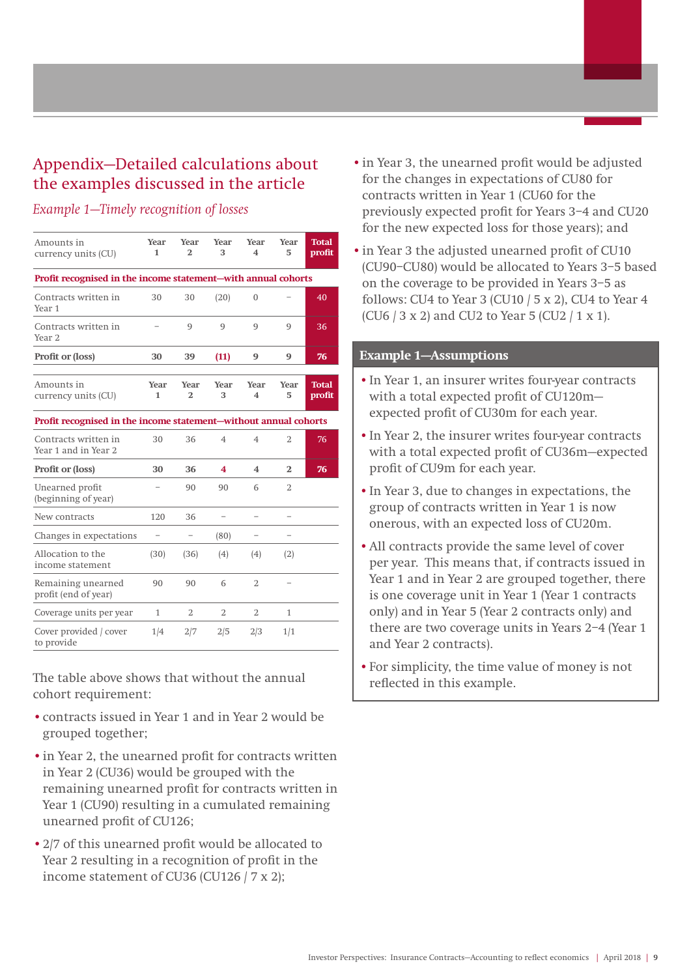# Appendix—Detailed calculations about the examples discussed in the article

#### *Example 1—Timely recognition of losses*

| Amounts in<br>currency units (CU)                                | Year<br>1                | Year<br>$\overline{2}$ | Year<br>3                | <b>Year</b><br>$\overline{\mathbf{4}}$ | Year<br>5                | <b>Total</b><br>profit |
|------------------------------------------------------------------|--------------------------|------------------------|--------------------------|----------------------------------------|--------------------------|------------------------|
| Profit recognised in the income statement-with annual cohorts    |                          |                        |                          |                                        |                          |                        |
| Contracts written in<br>Year <sub>1</sub>                        | 30                       | 30                     | (20)                     | 0                                      |                          | 40                     |
| Contracts written in<br>Year <sub>2</sub>                        |                          | 9                      | 9                        | 9                                      | 9                        | 36                     |
| <b>Profit or (loss)</b>                                          | 30                       | 39                     | (11)                     | 9                                      | 9                        | 76                     |
| Amounts in<br>currency units (CU)                                | <b>Year</b><br>1         | Year<br>$\overline{2}$ | Year<br>3                | Year<br>4                              | Year<br>5                | <b>Total</b><br>profit |
| Profit recognised in the income statement-without annual cohorts |                          |                        |                          |                                        |                          |                        |
| Contracts written in<br>Year 1 and in Year 2                     | 30                       | 36                     | $\overline{4}$           | $\overline{4}$                         | $\overline{2}$           | 76                     |
| <b>Profit or (loss)</b>                                          | 30                       | 36                     | 4                        | 4                                      | 2                        | 76                     |
| Unearned profit<br>(beginning of year)                           | $\overline{\phantom{0}}$ | 90                     | 90                       | 6                                      | $\overline{2}$           |                        |
| New contracts                                                    | 120                      | 36                     | $\overline{\phantom{0}}$ |                                        |                          |                        |
| Changes in expectations                                          | $\overline{\phantom{0}}$ | $\qquad \qquad -$      | (80)                     | $\overline{\phantom{0}}$               | $\overline{\phantom{0}}$ |                        |
| Allocation to the<br>income statement                            | (30)                     | (36)                   | (4)                      | (4)                                    | (2)                      |                        |
| Remaining unearned<br>profit (end of year)                       | 90                       | 90                     | 6                        | $\overline{2}$                         |                          |                        |
| Coverage units per year                                          | 1                        | 2                      | $\overline{2}$           | $\overline{2}$                         | 1                        |                        |
| Cover provided / cover<br>to provide                             | 1/4                      | 2/7                    | 2/5                      | 2/3                                    | 1/1                      |                        |

The table above shows that without the annual cohort requirement:

- •contracts issued in Year 1 and in Year 2 would be grouped together;
- •in Year 2, the unearned profit for contracts written in Year 2 (CU36) would be grouped with the remaining unearned profit for contracts written in Year 1 (CU90) resulting in a cumulated remaining unearned profit of CU126;
- •2/7 of this unearned profit would be allocated to Year 2 resulting in a recognition of profit in the income statement of CU36 (CU126 / 7 x 2);
- •in Year 3, the unearned profit would be adjusted for the changes in expectations of CU80 for contracts written in Year 1 (CU60 for the previously expected profit for Years 3–4 and CU20 for the new expected loss for those years); and
- •in Year 3 the adjusted unearned profit of CU10 (CU90–CU80) would be allocated to Years 3–5 based on the coverage to be provided in Years 3–5 as follows: CU4 to Year 3 (CU10  $/$  5 x 2), CU4 to Year 4 (CU6 / 3 x 2) and CU2 to Year 5 (CU2 / 1 x 1).

#### **Example 1—Assumptions**

- •In Year 1, an insurer writes four-year contracts with a total expected profit of CU120m expected profit of CU30m for each year.
- •In Year 2, the insurer writes four-year contracts with a total expected profit of CU36m—expected profit of CU9m for each year.
- •In Year 3, due to changes in expectations, the group of contracts written in Year 1 is now onerous, with an expected loss of CU20m.
- •All contracts provide the same level of cover per year. This means that, if contracts issued in Year 1 and in Year 2 are grouped together, there is one coverage unit in Year 1 (Year 1 contracts only) and in Year 5 (Year 2 contracts only) and there are two coverage units in Years 2–4 (Year 1 and Year 2 contracts).
- •For simplicity, the time value of money is not reflected in this example.